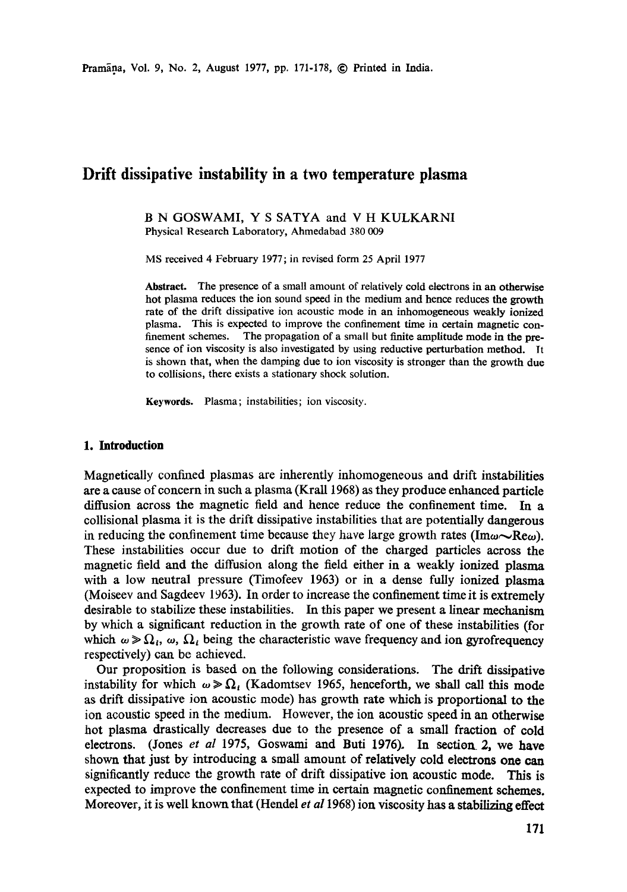# **Drift dissipative instability in a two temperature plasma**

B N GOSWAMI, Y S SATYA and V H KULKARNI Physical Research Laboratory, Ahmedabad 380 009

MS received 4 February 1977; in revised form 25 April 1977

Abstract. The presence of a small amount of relatively cold electrons in an otherwise hot plasma reduces the ion sound speed in the medium and hence reduces the growth rate of the drift dissipative ion acoustic mode in an inhomogeneous weakly ionized plasma. This is expected to improve the confinement time in certain magnetic confinement schemes. The propagation of a small but finite amplitude mode in the presence of ion viscosity is also investigated by using reductive perturbation method. It is shown that, when the damping due to ion viscosity is stronger than the growth due to collisions, there exists a stationary shock solution.

Keywords. Plasma; instabilities; ion viscosity.

### **1. Introduction**

Magnetically confined plasmas are inherently inhomogeneous and drift instabilities are a cause of concern in such a plasma (Krall 1968) as they produce enhanced particle diffusion across the magnetic field and hence reduce the confinement time. In a collisional plasma it is the drift dissipative instabilities that are potentially dangerous in reducing the confinement time because they have large growth rates (Im $\omega\sim$ Re $\omega$ ). These instabilities occur due to drift motion of the charged particles across the magnetic field and the diffusion along the field either in a weakly ionized plasma with a low neutral pressure (Timofeev 1963) or in a dense fully ionized plasma (Moiseev and Sagdeev 1963). In order to increase the confinement time it is extremely desirable to stabilize these instabilities. In this paper we present a linear mechanism by which a significant reduction in the growth rate of one of these instabilities (for which  $\omega \gg \Omega_i$ ,  $\omega$ ,  $\Omega_i$  being the characteristic wave frequency and ion gyrofrequency respectively) car be achieved.

Our proposition is based on the following considerations. The drift dissipative instability for which  $\omega \gg \Omega_i$  (Kadomtsev 1965, henceforth, we shall call this mode as drift dissipative ion acoustic mode) has growth rate which is proportional to the ion acoustic speed in the medium. However, the ion acoustic speed in an otherwise hot plasma drastically decreases due to the presence of a small fraction of cold electrons. (Jones *et al* 1975, Goswami and Buti 1976). In section 2, we have shown that just by introducing a small amount of relatively cold electrons one can significantly reduce the growth rate of drift dissipative ion acoustic mode. This is expected to improve the confinement time in certain magnetic confinement schemes. Moreover, it is well known that (Hendel *et a11968)* ion viscosity has a stabilizing effect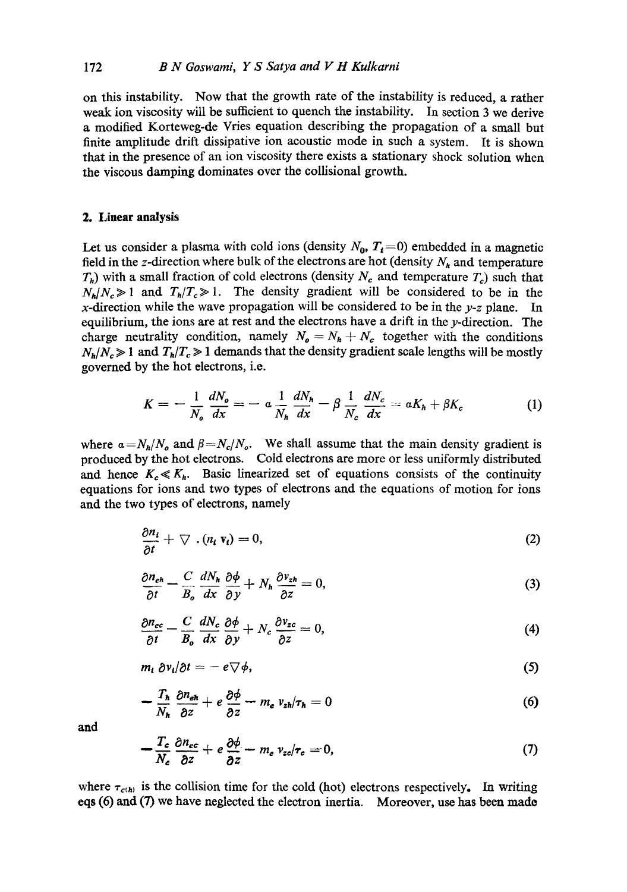on this instability. Now that the growth rate of the instability is reduced, a rather weak ion viscosity will be sufficient to quench the instability. In section 3 we derive a modified Korteweg-de Vries equation describing the propagation of a small but finite amplitude drift dissipative ion acoustic mode in such a system. It is shown that in the presence of an ion viscosity there exists a stationary shock solution when the viscous damping dominates over the collisional growth.

# **2. Linear analysis**

Let us consider a plasma with cold ions (density  $N_0$ ,  $T_i = 0$ ) embedded in a magnetic field in the z-direction where bulk of the electrons are hot (density  $N_h$  and temperature  $T_h$ ) with a small fraction of cold electrons (density  $N_c$  and temperature  $T_c$ ) such that  $N_h/N_c \gg 1$  and  $T_h/T_c \gg 1$ . The density gradient will be considered to be in the x-direction while the wave propagation will be considered to be in the *y-z* plane. In equilibrium, the ions are at rest and the electrons have a drift in the  $y$ -direction. The charge neutrality condition, namely  $N_o = N_h + N_c$  together with the conditions  $N_h/N_c \gg 1$  and  $T_h/T_c \gg 1$  demands that the density gradient scale lengths will be mostly governed by the hot electrons, i.e.

$$
K = -\frac{1}{N_o} \frac{dN_o}{dx} = -a \frac{1}{N_h} \frac{dN_h}{dx} - \beta \frac{1}{N_c} \frac{dN_c}{dx} = aK_h + \beta K_c \tag{1}
$$

where  $a = N_h/N_o$  and  $\beta = N_c/N_o$ . We shall assume that the main density gradient is produced by the hot electrons. Cold electrons are more or less uniformly distributed and hence  $K_c \ll K_h$ . Basic linearized set of equations consists of the continuity equations for ions and two types of electrons and the equations of motion for ions and the two types of electrons, namely

$$
\frac{\partial n_i}{\partial t} + \nabla \cdot (n_i \mathbf{v}_i) = 0, \tag{2}
$$

$$
\frac{\partial n_{eh}}{\partial t} - \frac{C}{B_o} \frac{dN_h}{dx} \frac{\partial \phi}{\partial y} + N_h \frac{\partial v_{zh}}{\partial z} = 0, \tag{3}
$$

$$
\frac{\partial n_{ec}}{\partial t} - \frac{C}{B_o} \frac{dN_c}{dx} \frac{\partial \phi}{\partial y} + N_c \frac{\partial v_{zc}}{\partial z} = 0, \tag{4}
$$

$$
m_t \,\partial v_t/\partial t = -\,e \bigtriangledown \phi,\tag{5}
$$

$$
-\frac{T_h}{N_h}\frac{\partial n_{eh}}{\partial z} + e\frac{\partial \phi}{\partial z} - m_e v_{zh}/\tau_h = 0
$$
\n(6)

**and** 

$$
-\frac{T_c}{N_c}\frac{\partial n_{ec}}{\partial z} + e\frac{\partial \phi}{\partial z} - m_e v_{zc}/r_c = 0, \qquad (7)
$$

where  $\tau_{c(h)}$  is the collision time for the cold (hot) electrons respectively. In writing eqs (6) and (7) we have neglected the electron inertia. Moreover, use has been made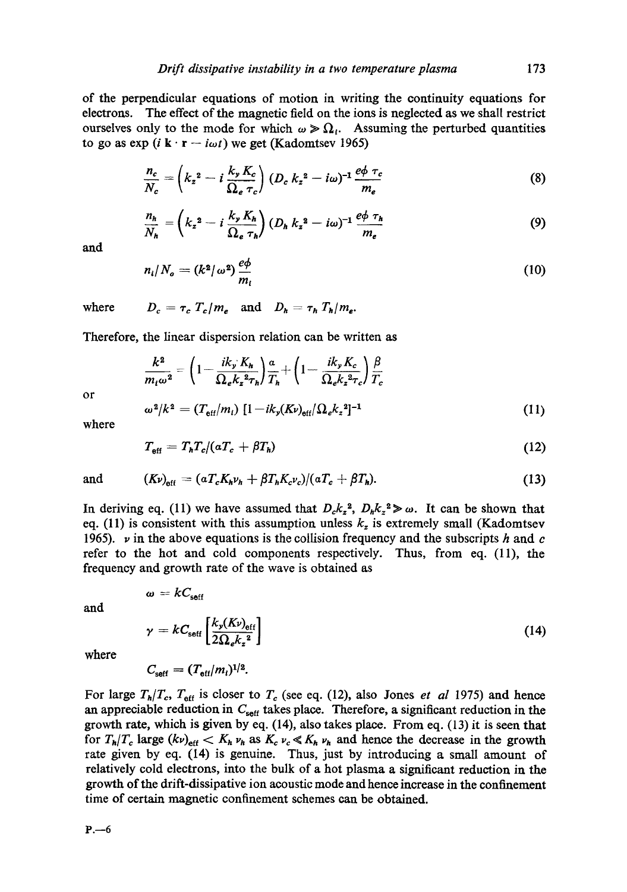of the perpendicular equations of motion in writing the continuity equations for electrons. The effect of the magnetic field on the ions is neglected as we shall restrict ourselves only to the mode for which  $\omega \ge \Omega_i$ . Assuming the perturbed quantities to go as  $\exp(i \mathbf{k} \cdot \mathbf{r} - i\omega t)$  we get (Kadomtsev 1965)

$$
\frac{n_c}{N_c} = \left(k_z^2 - i\frac{k_y K_c}{\Omega_e \tau_c}\right) (D_c k_z^2 - i\omega)^{-1} \frac{e\phi \tau_c}{m_e}
$$
(8)

$$
\frac{n_h}{N_h} = \left(k_z^2 - i\frac{k_y K_h}{\Omega_e \tau_h}\right) (D_h k_z^2 - i\omega)^{-1} \frac{e\phi \tau_h}{m_e} \tag{9}
$$

*and* 

$$
n_i/N_o = (k^2/\omega^2) \frac{e\phi}{m_i} \tag{10}
$$

where  $D_c = \tau_c T_c / m_e$  and  $D_h = \tau_h T_h / m_e$ .

Therefore, the linear dispersion relation can be written as

$$
\frac{k^2}{m_t\omega^2} = \left(1 - \frac{ik_y K_h}{\Omega_e k_z^2 \tau_h}\right) \frac{\alpha}{T_h} + \left(1 - \frac{ik_y K_c}{\Omega_e k_z^2 \tau_c}\right) \frac{\beta}{T_c}
$$

$$
\omega^2/k^2 = (T_{\text{eff}}/m_l) \left[1 - ik_y (Kv)_{\text{eff}}/\Omega_e k_z^2\right]^{-1} \tag{11}
$$

where

or

$$
T_{\rm eff} = T_h T_c / (aT_c + \beta T_h) \tag{12}
$$

and 
$$
(K\nu)_{\text{eff}} = (aT_cK_h\nu_h + \beta T_hK_c\nu_c)/(aT_c + \beta T_h). \qquad (13)
$$

In deriving eq. (11) we have assumed that  $D_c k_z^2$ ,  $D_h k_z^2 \gg \omega$ . It can be shown that eq. (11) is consistent with this assumption unless  $k_z$  is extremely small (Kadomtsev 1965).  $\nu$  in the above equations is the collision frequency and the subscripts h and c refer to the hot and cold components respectively. Thus, from eq. (11), the frequency and growth rate of the wave is obtained as

and

$$
\gamma = k C_{\text{self}} \left[ \frac{k_y(Kv)_{\text{eff}}}{2 \Omega_e k_z^2} \right]
$$
 (14)

where

$$
C_{\rm seff} = (T_{\rm eff}/m_i)^{1/2}.
$$

 $\omega = kC_{\text{soft}}$ 

For large  $T_h/T_c$ ,  $T_{\text{eff}}$  is closer to  $T_c$  (see eq. (12), also Jones *et al* 1975) and hence an appreciable reduction in  $C_{\text{self}}$  takes place. Therefore, a significant reduction in the growth rate, which is given by eq. (14), also takes place. From eq. (13) it is seen that for  $T_h/T_c$  large  $(k\nu)_{\text{eff}} < K_h \nu_h$  as  $K_c \nu_c \ll K_h \nu_h$  and hence the decrease in the growth rate given by eq. (14) is genuine. Thus, just by introducing a small amount of relatively cold electrons, into the bulk of a hot plasma a significant reduction in the growth of the drift-dissipative ion acoustic mode and hence increase in the confinement time of certain magnetic confinement schemes can be obtained.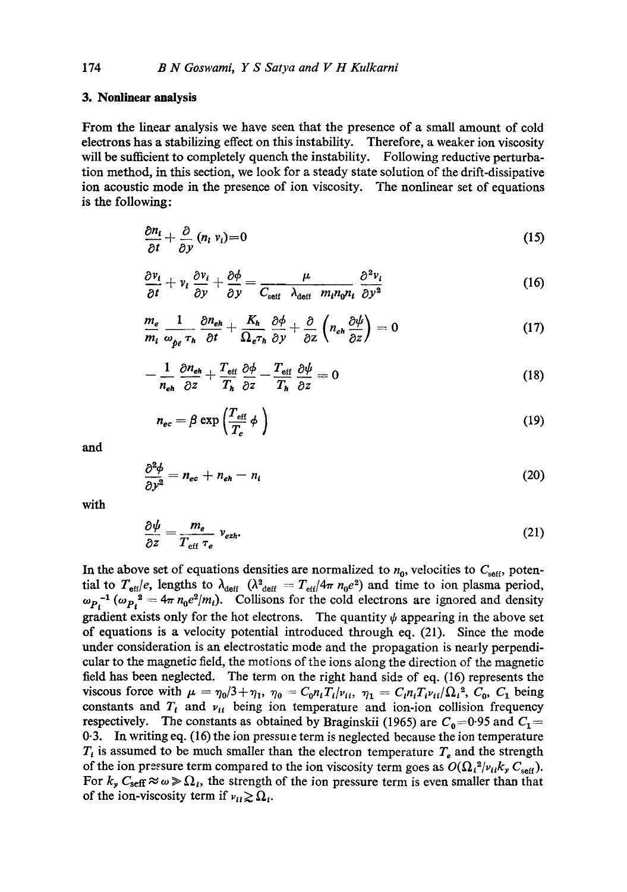# **3. Nonlinear analysis**

From the linear analysis we have seen that the presence of a small amount of cold electrons has a stabilizing effect on this instability. Therefore, a weaker ion viscosity will be sufficient to completely quench the instability. Following reductive perturbation method, in this section, we look for a steady state solution of the drift-dissipative ion acoustic mode in the presence of ion viscosity. The nonlinear set of equations is the following:

$$
\frac{\partial n_i}{\partial t} + \frac{\partial}{\partial y} (n_i v_i) = 0 \tag{15}
$$

$$
\frac{\partial v_i}{\partial t} + v_i \frac{\partial v_i}{\partial y} + \frac{\partial \phi}{\partial y} = \frac{\mu}{C_{\text{self}} \lambda_{\text{defi}} m_i n_0 n_i} \frac{\partial^2 v_i}{\partial y^2}
$$
(16)

$$
\frac{m_e}{m_i}\frac{1}{\omega_{pe}\tau_h}\frac{\partial n_{eh}}{\partial t} + \frac{K_h}{\Omega_e\tau_h}\frac{\partial \phi}{\partial y} + \frac{\partial}{\partial z}\left(n_{eh}\frac{\partial \psi}{\partial z}\right) = 0
$$
\n(17)

$$
-\frac{1}{n_{eh}}\frac{\partial n_{eh}}{\partial z} + \frac{T_{\text{eff}}}{T_h}\frac{\partial \phi}{\partial z} - \frac{T_{\text{eff}}}{T_h}\frac{\partial \psi}{\partial z} = 0
$$
\n(18)

$$
n_{ec} = \beta \exp\left(\frac{T_{\text{eff}}}{T_c} \phi\right) \tag{19}
$$

and

$$
\frac{\partial^2 \phi}{\partial y^2} = n_{ec} + n_{eh} - n_i \tag{20}
$$

with

$$
\frac{\partial \psi}{\partial z} = \frac{m_e}{T_{\text{eff}} \tau_e} v_{\text{ezh}}.
$$
 (21)

In the above set of equations densities are normalized to  $n_0$ , velocities to  $C_{\text{seff}}$ , potential to  $T_{\text{eff}}/e$ , lengths to  $\lambda_{\text{defi}}$  ( $\lambda_{\text{defi}}^2 = T_{\text{eff}}/4\pi n_0 e^2$ ) and time to ion plasma period,  $\omega_p^{-1}$  ( $\omega_p^2 = 4\pi n_0 e^2/m_l$ ). Collisons for the cold electrons are ignored and density gradient exists only for the hot electrons. The quantity  $\psi$  appearing in the above set of equations is a velocity potential introduced through eq. (21). Since the mode under consideration is an electrostatic mode and the propagation is nearly perpendicular to the magnetic field, the motions of the ions along the direction of the magnetic field has been neglected. The term on the right hand side of eq. (16) represents the viscous force with  $\mu = \eta_0/3 + \eta_1$ ,  $\eta_0 = C_0 n_i T_i / \nu_{ii}$ ,  $\eta_1 = C_i n_i T_i \nu_{ii} / \Omega_i^2$ ,  $C_0$ ,  $C_1$  being constants and  $T_t$  and  $v_{tt}$  being ion temperature and ion-ion collision frequency respectively. The constants as obtained by Braginskii (1965) are  $C_0$ =0.95 and  $C_1=$ 0.3. In writing eq. (16) the ion pressme term is neglected because the ion temperature  $T_t$  is assumed to be much smaller than the electron temperature  $T_e$  and the strength of the ion pressure term compared to the ion viscosity term goes as  $O(\Omega_i^2/\nu_{li} k_y C_{\text{seff}})$ . For  $k_y$ ,  $C_{\text{seff}} \approx \omega \gg \Omega_i$ , the strength of the ion pressure term is even smaller than that of the ion-viscosity term if  $v_{ii} \ge \Omega_i$ .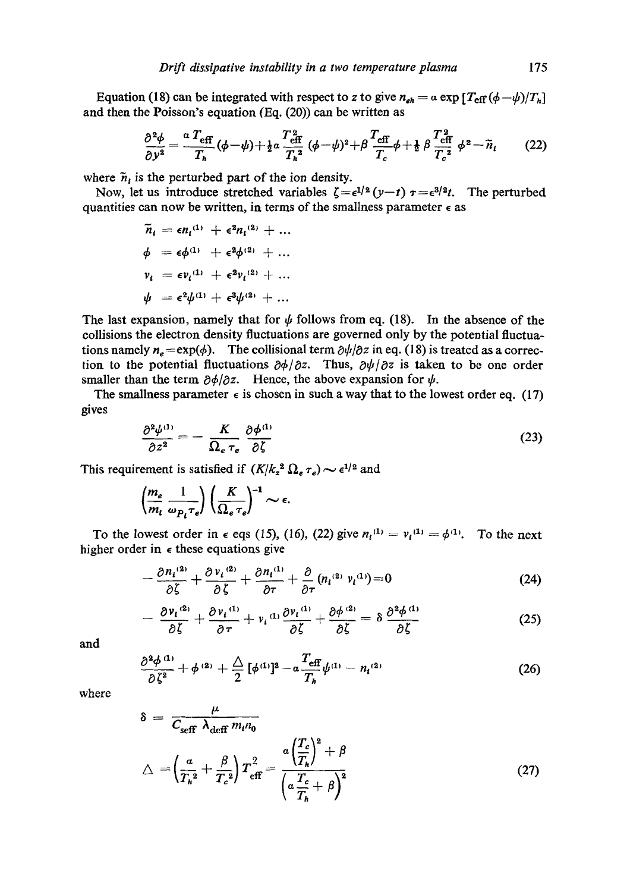Equation (18) can be integrated with respect to z to give  $n_{eh} = a \exp\left[ T_{eff} (\phi - \psi)/T_h \right]$ and then the Poisson's equation (Eq. (20)) can be written as

$$
\frac{\partial^2 \phi}{\partial y^2} = \frac{a T_{\text{eff}}}{T_h} (\phi - \psi) + \frac{1}{2} a \frac{T_{\text{eff}}^2}{T_h^2} (\phi - \psi)^2 + \beta \frac{T_{\text{eff}}}{T_c} \phi + \frac{1}{2} \beta \frac{T_{\text{eff}}^2}{T_c^2} \phi^2 - \tilde{n}_i \tag{22}
$$

where  $\tilde{n}_i$  is the perturbed part of the ion density.

Now, let us introduce stretched variables  $\zeta = \epsilon^{1/2} (y-t) \tau = \epsilon^{3/2}t$ . The perturbed quantities can now be written, in terms of the smallness parameter  $\epsilon$  as

$$
\widetilde{n}_l = \epsilon n_l^{(1)} + \epsilon^2 n_l^{(2)} + \dots
$$
\n
$$
\phi = \epsilon \phi^{(1)} + \epsilon^2 \phi^{(2)} + \dots
$$
\n
$$
v_l = \epsilon v_l^{(1)} + \epsilon^2 v_l^{(2)} + \dots
$$
\n
$$
\psi = \epsilon^2 \psi^{(1)} + \epsilon^3 \psi^{(2)} + \dots
$$

The last expansion, namely that for  $\psi$  follows from eq. (18). In the absence of the collisions the electron density fluctuations are governed only by the potential fluctuations namely  $n_e = \exp(\phi)$ . The collisional term  $\frac{\partial \psi}{\partial z}$  in eq. (18) is treated as a correction to the potential fluctuations  $\partial \phi / \partial z$ . Thus,  $\partial \psi / \partial z$  is taken to be one order smaller than the term  $\partial \phi / \partial z$ . Hence, the above expansion for  $\psi$ .

The smallness parameter  $\epsilon$  is chosen in such a way that to the lowest order eq. (17) gives

$$
\frac{\partial^2 \psi^{(1)}}{\partial z^2} = -\frac{K}{\Omega_e \tau_e} \frac{\partial \phi^{(1)}}{\partial \zeta}
$$
 (23)

This requirement is satisfied if  $(K/k_z^2 \Omega_e \tau_e) \sim \epsilon^{1/2}$  and

$$
\left(\frac{m_e}{m_t}\frac{1}{\omega_{P_t}\tau_e}\right)\left(\frac{K}{\Omega_e\tau_e}\right)^{-1}\sim\epsilon.
$$

To the lowest order in  $\epsilon$  eqs (15), (16), (22) give  $n_i^{(1)} = v_i^{(1)} = \phi^{(1)}$ . To the next higher order in  $\epsilon$  these equations give

$$
-\frac{\partial n_i^{(2)}}{\partial \zeta} + \frac{\partial v_i^{(2)}}{\partial \zeta} + \frac{\partial n_i^{(1)}}{\partial \tau} + \frac{\partial}{\partial \tau} (n_i^{(2)} v_i^{(1)}) = 0 \qquad (24)
$$

$$
-\frac{\partial v_i^{(2)}}{\partial \zeta}+\frac{\partial v_i^{(1)}}{\partial \tau}+v_i^{(1)}\frac{\partial v_i^{(1)}}{\partial \zeta}+\frac{\partial \phi^{(2)}}{\partial \zeta}=\delta \frac{\partial^2 \phi^{(1)}}{\partial \zeta}
$$
(25)

**and** 

$$
\frac{\partial^2 \phi^{(1)}}{\partial \zeta^2} + \phi^{(2)} + \frac{\triangle}{2} [\phi^{(1)}]^2 - a \frac{T_{\text{eff}}}{T_h} \psi^{(1)} - n_i^{(2)}
$$
(26)

where

$$
\delta = \frac{\mu}{C_{\text{seff}} \lambda_{\text{deff}} m_l n_0}
$$
  

$$
\Delta = \left(\frac{a}{T_h^2} + \frac{\beta}{T_c^2}\right) T_{\text{eff}}^2 = \frac{a\left(\frac{T_c}{T_h}\right)^2 + \beta}{\left(a\frac{T_c}{T_h} + \beta\right)^2}
$$
 (27)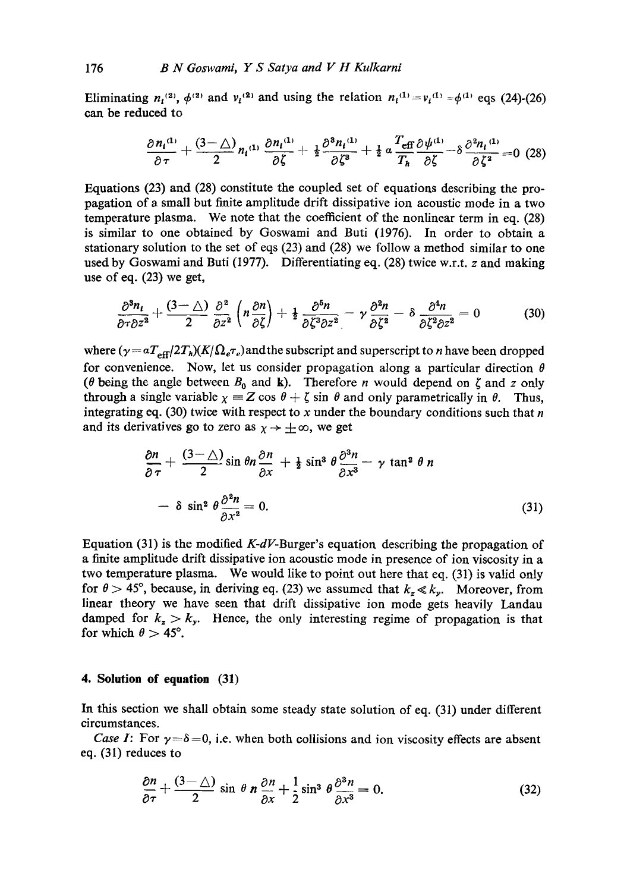Eliminating  $n_1^{(2)}$ ,  $\phi^{(2)}$  and  $v_1^{(2)}$  and using the relation  $n_1^{(1)} = v_1^{(1)} = \phi^{(1)}$  eqs (24)-(26) can be reduced to

$$
\frac{\partial n_i^{(1)}}{\partial \tau} + \frac{(3-\triangle)}{2} n_i^{(1)} \frac{\partial n_i^{(1)}}{\partial \zeta} + \frac{1}{2} \frac{\partial^3 n_i^{(1)}}{\partial \zeta^3} + \frac{1}{2} \alpha \frac{T_{\text{eff}}}{T_h} \frac{\partial \psi^{(1)}}{\partial \zeta} - \delta \frac{\partial^2 n_i^{(1)}}{\partial \zeta^2} = 0 \tag{28}
$$

Equations (23) and (28) constitute the coupled set of equations describing the propagation of a small but finite amplitude drift dissipative ion acoustic mode in a two temperature plasma. We note that the coetficient of the nonlinear term in eq. (28) is similar to one obtained by Goswami and Buti (1976). In order to obtain a stationary solution to the set of eqs (23) and (28) we follow a method similar to one used by Goswami and Buti (1977). Differentiating eq. (28) twice w.r.t.  $z$  and making use of eq. (23) we get,

$$
\frac{\partial^3 n_i}{\partial \tau \partial z^2} + \frac{(3-\triangle)}{2} \frac{\partial^2}{\partial z^2} \left( n \frac{\partial n}{\partial \zeta} \right) + \frac{1}{2} \frac{\partial^5 n}{\partial \zeta^3 \partial z^2} - \gamma \frac{\partial^2 n}{\partial \zeta^2} - \delta \frac{\partial^4 n}{\partial \zeta^2 \partial z^2} = 0 \tag{30}
$$

where  $(\gamma = aT_{\text{eff}}/2T_h)(K/\Omega_e \tau_e)$  and the subscript and superscript to *n* have been dropped for convenience. Now, let us consider propagation along a particular direction  $\theta$ ( $\theta$  being the angle between  $B_0$  and **k**). Therefore *n* would depend on  $\zeta$  and z only through a single variable  $\chi \equiv Z \cos \theta + \zeta \sin \theta$  and only parametrically in  $\theta$ . Thus, integrating eq. (30) twice with respect to x under the boundary conditions such that  $n$ and its derivatives go to zero as  $\chi \rightarrow \pm \infty$ , we get

$$
\frac{\partial n}{\partial \tau} + \frac{(3-\Delta)}{2}\sin \theta n \frac{\partial n}{\partial x} + \frac{1}{2}\sin^3 \theta \frac{\partial^3 n}{\partial x^3} - \gamma \tan^2 \theta n
$$

$$
- \delta \sin^2 \theta \frac{\partial^2 n}{\partial x^2} = 0.
$$
(31)

Equation (31) is the modified *K-dV-Burger's* equation describing the propagation of a finite amplitude drift dissipative ion acoustic mode in presence of ion viscosity in a two temperature plasma. We would like to point out here that eq. (31) is valid only for  $\theta > 45^{\circ}$ , because, in deriving eq. (23) we assumed that  $k_z \ll k_y$ . Moreover, from linear theory we have seen that drift dissipative ion mode gets heavily Landau damped for  $k_z > k_y$ . Hence, the only interesting regime of propagation is that for which  $\theta > 45^\circ$ .

#### **4. Solution of equation (31)**

In this section we shall obtain some steady state solution of eq. (31) under different circumstances.

*Case I*: For  $\gamma = \delta = 0$ , i.e. when both collisions and ion viscosity effects are absent eq. (31) reduces to

$$
\frac{\partial n}{\partial \tau} + \frac{(3-\triangle)}{2} \sin \theta \, n \, \frac{\partial n}{\partial x} + \frac{1}{2} \sin^3 \theta \, \frac{\partial^{3} n}{\partial x^3} = 0. \tag{32}
$$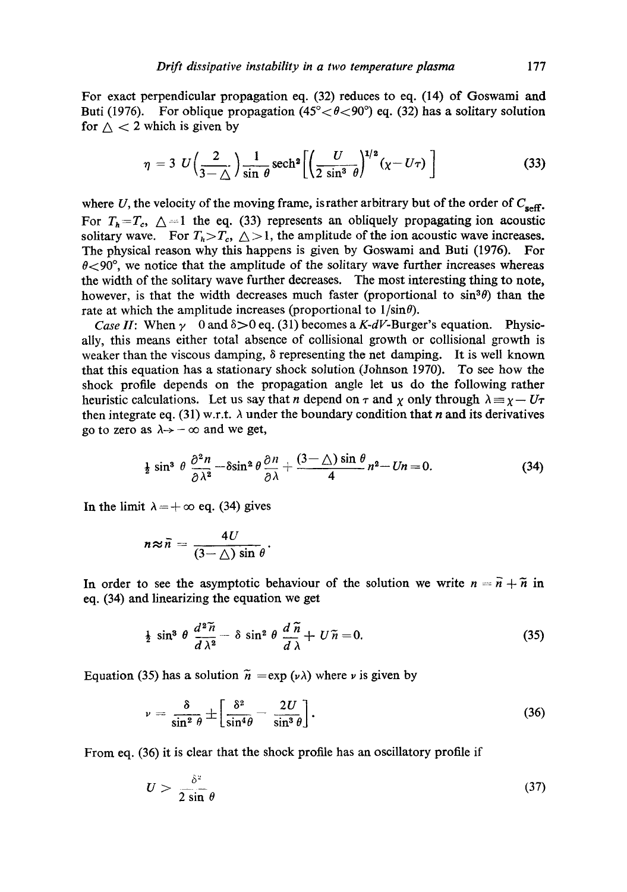For exact perpendicular propagation eq.  $(32)$  reduces to eq.  $(14)$  of Goswami and Buti (1976). For oblique propagation (45° $< \theta < 90$ °) eq. (32) has a solitary solution for  $\wedge$  < 2 which is given by

$$
\eta = 3 U \left( \frac{2}{3 - \triangle} \right) \frac{1}{\sin \theta} \operatorname{sech}^2 \left[ \left( \frac{U}{2 \sin^3 \theta} \right)^{1/2} (\chi - U\tau) \right]
$$
(33)

where U, the velocity of the moving frame, is rather arbitrary but of the order of  $C_{\text{self}}$ . For  $T_h = T_c$ ,  $\Delta = 1$  the eq. (33) represents an obliquely propagating ion acoustic solitary wave. For  $T_h > T_c$ ,  $\triangle > 1$ , the amplitude of the ion acoustic wave increases. The physical reason why this happens is given by Goswami and Buti (1976). For  $\theta$ <90°, we notice that the amplitude of the solitary wave further increases whereas the width of the solitary wave further decreases. The most interesting thing to note, however, is that the width decreases much faster (proportional to  $sin^3\theta$ ) than the rate at which the amplitude increases (proportional to  $1/\sin\theta$ ).

*Case II:* When  $\gamma$  0 and  $\delta > 0$  eq. (31) becomes a *K-dV-Burger's* equation. Physically, this means either total absence of collisional growth or collisional growth is weaker than the viscous damping,  $\delta$  representing the net damping. It is well known that this equation has a stationary shock solution (Johnson 1970). To see how the shock profile depends on the propagation angle let us do the following rather heuristic calculations. Let us say that n depend on  $\tau$  and  $\chi$  only through  $\lambda = \chi - U\tau$ then integrate eq. (31) w.r.t.  $\lambda$  under the boundary condition that n and its derivatives go to zero as  $\lambda \rightarrow -\infty$  and we get,

$$
\frac{1}{2}\sin^3\,\theta\,\frac{\partial^2 n}{\partial\lambda^2} - \delta\sin^2\theta\,\frac{\partial n}{\partial\lambda} + \frac{(3-\triangle)\sin\theta}{4}n^2 - Un = 0. \tag{34}
$$

In the limit  $\lambda = +\infty$  eq. (34) gives

$$
n \approx \bar{n} = \frac{4U}{(3-\triangle)\sin\theta}.
$$

In order to see the asymptotic behaviour of the solution we write  $n = \overline{n} + \tilde{n}$  in eq. (34) and linearizing the equation we get

$$
\frac{1}{2}\sin^3\theta\,\frac{d^2\widetilde{n}}{d\lambda^2}-\delta\,\sin^2\theta\,\frac{d\widetilde{n}}{d\lambda}+U\widetilde{n}=0.\tag{35}
$$

Equation (35) has a solution  $\tilde{n} = \exp(\nu \lambda)$  where  $\nu$  is given by

$$
\nu = \frac{\delta}{\sin^2 \theta} \pm \left[ \frac{\delta^2}{\sin^4 \theta} - \frac{2U}{\sin^3 \theta} \right].
$$
 (36)

From eq. (36) it is clear that the shock profile has an oscillatory profile if

$$
U > \frac{\delta^2}{2\sin\theta} \tag{37}
$$